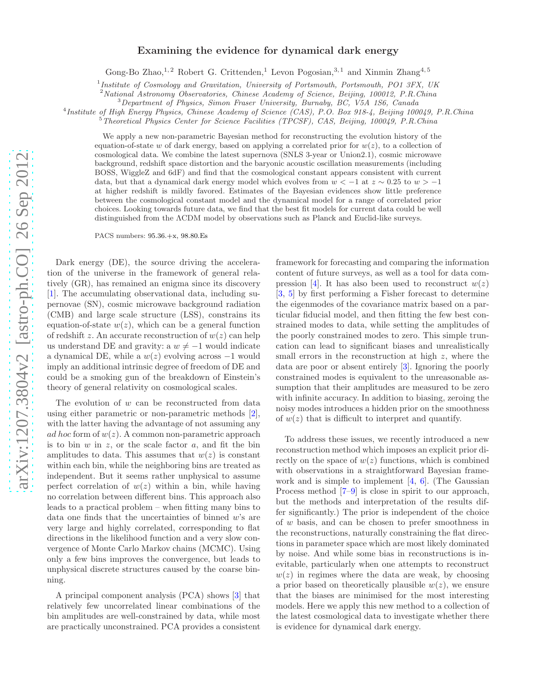## arXiv:1207.3804v2 [astro-ph.CO] 26 Sep 2012 [arXiv:1207.3804v2 \[astro-ph.CO\] 26 Sep 2012](http://arxiv.org/abs/1207.3804v2)

## Examining the evidence for dynamical dark energy

Gong-Bo Zhao,<sup>1,2</sup> Robert G. Crittenden,<sup>1</sup> Levon Pogosian,<sup>3,1</sup> and Xinmin Zhang<sup>4,5</sup>

<sup>1</sup>Institute of Cosmology and Gravitation, University of Portsmouth, Portsmouth, PO1 3FX, UK

<sup>2</sup> National Astronomy Observatories, Chinese Academy of Science, Beijing, 100012, P.R.China

<sup>3</sup>Department of Physics, Simon Fraser University, Burnaby, BC, V5A 1S6, Canada

4 Institute of High Energy Physics, Chinese Academy of Science (CAS), P.O. Box 918-4, Beijing 100049, P.R.China

<sup>5</sup>Theoretical Physics Center for Science Facilities (TPCSF), CAS, Beijing, 100049, P.R.China

We apply a new non-parametric Bayesian method for reconstructing the evolution history of the equation-of-state w of dark energy, based on applying a correlated prior for  $w(z)$ , to a collection of cosmological data. We combine the latest supernova (SNLS 3-year or Union2.1), cosmic microwave background, redshift space distortion and the baryonic acoustic oscillation measurements (including BOSS, WiggleZ and 6dF) and find that the cosmological constant appears consistent with current data, but that a dynamical dark energy model which evolves from  $w < -1$  at  $z \sim 0.25$  to  $w > -1$ at higher redshift is mildly favored. Estimates of the Bayesian evidences show little preference between the cosmological constant model and the dynamical model for a range of correlated prior choices. Looking towards future data, we find that the best fit models for current data could be well distinguished from the ΛCDM model by observations such as Planck and Euclid-like surveys.

PACS numbers: 95.36.+x, 98.80.Es

Dark energy (DE), the source driving the acceleration of the universe in the framework of general relatively (GR), has remained an enigma since its discovery [\[1\]](#page-4-0). The accumulating observational data, including supernovae (SN), cosmic microwave background radiation (CMB) and large scale structure (LSS), constrains its equation-of-state  $w(z)$ , which can be a general function of redshift z. An accurate reconstruction of  $w(z)$  can help us understand DE and gravity: a  $w \neq -1$  would indicate a dynamical DE, while a  $w(z)$  evolving across  $-1$  would imply an additional intrinsic degree of freedom of DE and could be a smoking gun of the breakdown of Einstein's theory of general relativity on cosmological scales.

The evolution of  $w$  can be reconstructed from data using either parametric or non-parametric methods [\[2\]](#page-4-1), with the latter having the advantage of not assuming any ad hoc form of  $w(z)$ . A common non-parametric approach is to bin  $w$  in  $z$ , or the scale factor  $a$ , and fit the bin amplitudes to data. This assumes that  $w(z)$  is constant within each bin, while the neighboring bins are treated as independent. But it seems rather unphysical to assume perfect correlation of  $w(z)$  within a bin, while having no correlation between different bins. This approach also leads to a practical problem – when fitting many bins to data one finds that the uncertainties of binned  $w$ 's are very large and highly correlated, corresponding to flat directions in the likelihood function and a very slow convergence of Monte Carlo Markov chains (MCMC). Using only a few bins improves the convergence, but leads to unphysical discrete structures caused by the coarse binning.

A principal component analysis (PCA) shows [\[3\]](#page-4-2) that relatively few uncorrelated linear combinations of the bin amplitudes are well-constrained by data, while most are practically unconstrained. PCA provides a consistent

framework for forecasting and comparing the information content of future surveys, as well as a tool for data com-pression [\[4](#page-4-3)]. It has also been used to reconstruct  $w(z)$ [\[3,](#page-4-2) [5](#page-4-4)] by first performing a Fisher forecast to determine the eigenmodes of the covariance matrix based on a particular fiducial model, and then fitting the few best constrained modes to data, while setting the amplitudes of the poorly constrained modes to zero. This simple truncation can lead to significant biases and unrealistically small errors in the reconstruction at high z, where the data are poor or absent entirely [\[3](#page-4-2)]. Ignoring the poorly constrained modes is equivalent to the unreasonable assumption that their amplitudes are measured to be zero with infinite accuracy. In addition to biasing, zeroing the noisy modes introduces a hidden prior on the smoothness of  $w(z)$  that is difficult to interpret and quantify.

To address these issues, we recently introduced a new reconstruction method which imposes an explicit prior directly on the space of  $w(z)$  functions, which is combined with observations in a straightforward Bayesian framework and is simple to implement  $[4, 6]$  $[4, 6]$ . (The Gaussian Process method [\[7](#page-4-6)[–9](#page-4-7)] is close in spirit to our approach, but the methods and interpretation of the results differ significantly.) The prior is independent of the choice of w basis, and can be chosen to prefer smoothness in the reconstructions, naturally constraining the flat directions in parameter space which are most likely dominated by noise. And while some bias in reconstructions is inevitable, particularly when one attempts to reconstruct  $w(z)$  in regimes where the data are weak, by choosing a prior based on theoretically plausible  $w(z)$ , we ensure that the biases are minimised for the most interesting models. Here we apply this new method to a collection of the latest cosmological data to investigate whether there is evidence for dynamical dark energy.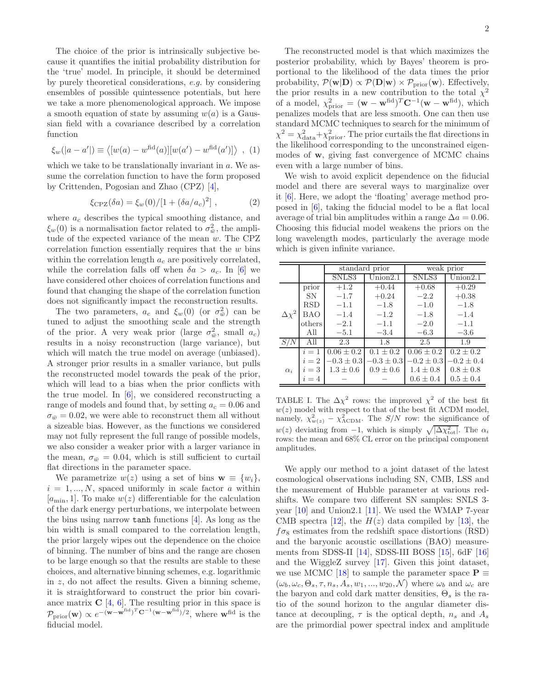The choice of the prior is intrinsically subjective because it quantifies the initial probability distribution for the 'true' model. In principle, it should be determined by purely theoretical considerations, e.g. by considering ensembles of possible quintessence potentials, but here we take a more phenomenological approach. We impose a smooth equation of state by assuming  $w(a)$  is a Gaussian field with a covariance described by a correlation function

$$
\xi_w(|a-a'|) \equiv \langle [w(a) - w^{\text{fid}}(a)][w(a') - w^{\text{fid}}(a')] \rangle , (1)
$$

which we take to be translationally invariant in a. We assume the correlation function to have the form proposed by Crittenden, Pogosian and Zhao (CPZ) [\[4](#page-4-3)],

$$
\xi_{\rm CPZ}(\delta a) = \xi_w(0) / [1 + (\delta a / a_c)^2] \;, \tag{2}
$$

where  $a_c$  describes the typical smoothing distance, and  $\xi_w(0)$  is a normalisation factor related to  $\sigma_{\bar{w}}^2$ , the amplitude of the expected variance of the mean w. The CPZ correlation function essentially requires that the  $w$  bins within the correlation length  $a_c$  are positively correlated, while the correlation falls off when  $\delta a > a_c$ . In [\[6\]](#page-4-5) we have considered other choices of correlation functions and found that changing the shape of the correlation function does not significantly impact the reconstruction results.

The two parameters,  $a_c$  and  $\xi_w(0)$  (or  $\sigma^2_w$ ) can be tuned to adjust the smoothing scale and the strength of the prior. A very weak prior (large  $\sigma_{\bar{w}}^2$ , small  $a_c$ ) results in a noisy reconstruction (large variance), but which will match the true model on average (unbiased). A stronger prior results in a smaller variance, but pulls the reconstructed model towards the peak of the prior, which will lead to a bias when the prior conflicts with the true model. In  $[6]$ , we considered reconstructing a range of models and found that, by setting  $a_c = 0.06$  and  $\sigma_{\bar{w}}=0.02$ , we were able to reconstruct them all without a sizeable bias. However, as the functions we considered may not fully represent the full range of possible models, we also consider a weaker prior with a larger variance in the mean,  $\sigma_{\bar{w}} = 0.04$ , which is still sufficient to curtail flat directions in the parameter space.

We parametrize  $w(z)$  using a set of bins  $\mathbf{w} \equiv \{w_i\},\$  $i = 1, ..., N$ , spaced uniformly in scale factor a within  $[a_{\min}, 1]$ . To make  $w(z)$  differentiable for the calculation of the dark energy perturbations, we interpolate between the bins using narrow tanh functions [\[4\]](#page-4-3). As long as the bin width is small compared to the correlation length, the prior largely wipes out the dependence on the choice of binning. The number of bins and the range are chosen to be large enough so that the results are stable to these choices, and alternative binning schemes, e.g. logarithmic in z, do not affect the results. Given a binning scheme, it is straightforward to construct the prior bin covariance matrix  $C$  [\[4,](#page-4-3) [6\]](#page-4-5). The resulting prior in this space is  $\mathcal{P}_{\text{prior}}(\mathbf{w}) \propto e^{-(\mathbf{w}-\mathbf{w}^{\text{fid}})^T \mathbf{C}^{-1}(\mathbf{w}-\mathbf{w}^{\text{fid}})/2}, \text{ where } \mathbf{w}^{\text{fid}} \text{ is the}$ fiducial model.

The reconstructed model is that which maximizes the posterior probability, which by Bayes' theorem is proportional to the likelihood of the data times the prior probability,  $\mathcal{P}(\mathbf{w}|\mathbf{D}) \propto \mathcal{P}(\mathbf{D}|\mathbf{w}) \times \mathcal{P}_{\text{prior}}(\mathbf{w})$ . Effectively, the prior results in a new contribution to the total  $\chi^2$ of a model,  $\chi^2_{\text{prior}} = (\mathbf{w} - \mathbf{w}^{\text{fid}})^T \mathbf{C}^{-1} (\mathbf{w} - \mathbf{w}^{\text{fid}})$ , which penalizes models that are less smooth. One can then use standard MCMC techniques to search for the minimum of  $\chi^2 = \chi^2_{\rm data} + \chi^2_{\rm prior}$ . The prior curtails the flat directions in the likelihood corresponding to the unconstrained eigenmodes of w, giving fast convergence of MCMC chains even with a large number of bins.

We wish to avoid explicit dependence on the fiducial model and there are several ways to marginalize over it [\[6\]](#page-4-5). Here, we adopt the 'floating' average method proposed in [\[6](#page-4-5)], taking the fiducial model to be a flat local average of trial bin amplitudes within a range  $\Delta a = 0.06$ . Choosing this fiducial model weakens the priors on the long wavelength modes, particularly the average mode which is given infinite variance.

|                |            | standard prior |                | weak prior     |                |
|----------------|------------|----------------|----------------|----------------|----------------|
|                |            | SNLS3          | Union 2.1      | SNLS3          | Union 2.1      |
|                | prior      | $+1.2$         | $+0.44$        | $+0.68$        | $+0.29$        |
|                | <b>SN</b>  | $-1.7$         | $+0.24$        | $-2.2$         | $+0.38$        |
|                | RSD        | $-1.1$         | $-1.8$         | $-1.0$         | $-1.8$         |
| $\Delta\chi^2$ | <b>BAO</b> | $-1.4$         | $-1.2$         | $-1.8$         | $-1.4$         |
|                | others     | $-2.1$         | $-1.1$         | $-2.0$         | $-1.1$         |
|                | All        | $-5.1$         | $-3.4$         | $-6.3$         | $-3.6$         |
| <i>SIN</i>     | All        | 2.3            | 1.8            | 2.5            | 1.9            |
|                | $i=1$      | $0.06 \pm 0.2$ | $0.1 \pm 0.2$  | $0.06 \pm 0.2$ | $0.2 \pm 0.2$  |
|                | $i=2$      | $-0.3 \pm 0.3$ | $-0.3 \pm 0.3$ | $-0.2 \pm 0.3$ | $-0.2 \pm 0.4$ |
| $\alpha_i$     | $i=3$      | $1.3 \pm 0.6$  | $0.9 \pm 0.6$  | $1.4 \pm 0.8$  | $0.8 \pm 0.8$  |
|                | $i=4$      |                |                | $0.6 \pm 0.4$  | $0.5 \pm 0.4$  |

<span id="page-1-0"></span>TABLE I. The  $\Delta \chi^2$  rows: the improved  $\chi^2$  of the best fit  $w(z)$  model with respect to that of the best fit  $\Lambda$ CDM model, namely,  $\chi^2_{w(z)} - \chi^2_{\Lambda \text{CDM}}$ . The  $S/N$  row: the significance of  $w(z)$  deviating from -1, which is simply  $\sqrt{|\Delta\chi_{\rm tot}^2|}$ . The  $\alpha_i$ rows: the mean and 68% CL error on the principal component amplitudes.

We apply our method to a joint dataset of the latest cosmological observations including SN, CMB, LSS and the measurement of Hubble parameter at various redshifts. We compare two different SN samples: SNLS 3 year  $[10]$  and Union2.1  $[11]$ . We used the WMAP 7-year CMB spectra [\[12\]](#page-4-10), the  $H(z)$  data compiled by [\[13\]](#page-4-11), the  $f\sigma_8$  estimates from the redshift space distortions (RSD) and the baryonic acoustic oscillations (BAO) measurements from SDSS-II  $[14]$ , SDSS-III BOSS  $[15]$ , 6dF  $[16]$ and the WiggleZ survey [\[17](#page-4-15)]. Given this joint dataset, we use MCMC [\[18\]](#page-4-16) to sample the parameter space  $\mathbf{P} \equiv$  $(\omega_b, \omega_c, \Theta_s, \tau, n_s, A_s, w_1, ..., w_{20}, \mathcal{N})$  where  $\omega_b$  and  $\omega_c$  are the baryon and cold dark matter densities,  $\Theta_s$  is the ratio of the sound horizon to the angular diameter distance at decoupling,  $\tau$  is the optical depth,  $n_s$  and  $A_s$ are the primordial power spectral index and amplitude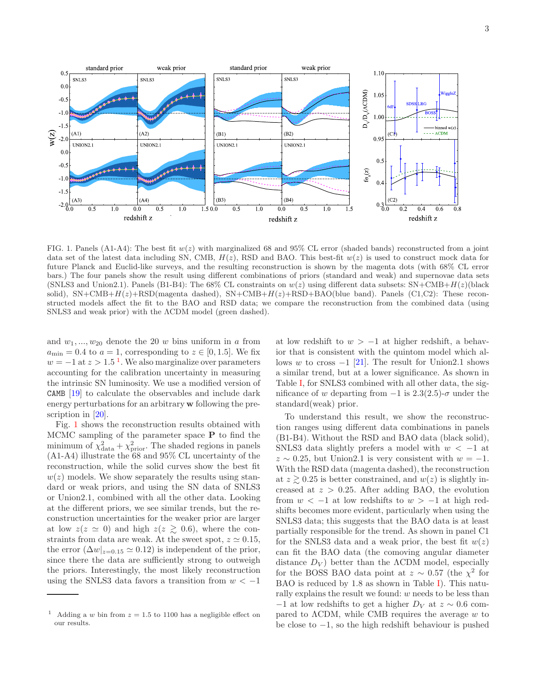

<span id="page-2-1"></span>FIG. 1. Panels (A1-A4): The best fit  $w(z)$  with marginalized 68 and 95% CL error (shaded bands) reconstructed from a joint data set of the latest data including SN, CMB,  $H(z)$ , RSD and BAO. This best-fit  $w(z)$  is used to construct mock data for future Planck and Euclid-like surveys, and the resulting reconstruction is shown by the magenta dots (with 68% CL error bars.) The four panels show the result using different combinations of priors (standard and weak) and supernovae data sets (SNLS3 and Union2.1). Panels (B1-B4): The 68% CL constraints on  $w(z)$  using different data subsets:  $SN+CDAB+H(z)$  (black solid),  $SN+CMB+H(z)+RSD(magenta dashed)$ ,  $SN+CMB+H(z)+RSD+BAO(blue band)$ . Panels (C1,C2): These reconstructed models affect the fit to the BAO and RSD data; we compare the reconstruction from the combined data (using SNLS3 and weak prior) with the ACDM model (green dashed).

and  $w_1, ..., w_{20}$  denote the 20 w bins uniform in a from  $a_{\min} = 0.4$  to  $a = 1$ , corresponding to  $z \in [0, 1.5]$ . We fix  $w = -1$  at  $z > 1.5$ <sup>1</sup>. We also marginalize over parameters accounting for the calibration uncertainty in measuring the intrinsic SN luminosity. We use a modified version of CAMB  $[19]$  to calculate the observables and include dark energy perturbations for an arbitrary w following the prescription in  $[20]$ .

Fig. 1 shows the reconstruction results obtained with MCMC sampling of the parameter space  $P$  to find the minimum of  $\chi^2_{data} + \chi^2_{prior}$ . The shaded regions in panels (A1-A4) illustrate the 68 and 95% CL uncertainty of the reconstruction, while the solid curves show the best fit  $w(z)$  models. We show separately the results using standard or weak priors, and using the SN data of SNLS3 or Union 2.1, combined with all the other data. Looking at the different priors, we see similar trends, but the reconstruction uncertainties for the weaker prior are larger at low  $z(z \simeq 0)$  and high  $z(z \gtrsim 0.6)$ , where the constraints from data are weak. At the sweet spot,  $z \approx 0.15$ , the error  $(\Delta w|_{z=0.15} \simeq 0.12)$  is independent of the prior, since there the data are sufficiently strong to outweigh the priors. Interestingly, the most likely reconstruction using the SNLS3 data favors a transition from  $w < -1$ 

at low redshift to  $w > -1$  at higher redshift, a behavior that is consistent with the quintom model which allows w to cross  $-1$  [21]. The result for Union 2.1 shows a similar trend, but at a lower significance. As shown in Table I, for SNLS3 combined with all other data, the significance of w departing from  $-1$  is 2.3(2.5)- $\sigma$  under the standard (weak) prior.

To understand this result, we show the reconstruction ranges using different data combinations in panels (B1-B4). Without the RSD and BAO data (black solid), SNLS3 data slightly prefers a model with  $w < -1$  at  $z \sim 0.25$ , but Union2.1 is very consistent with  $w = -1$ . With the RSD data (magenta dashed), the reconstruction at  $z \geq 0.25$  is better constrained, and  $w(z)$  is slightly increased at  $z > 0.25$ . After adding BAO, the evolution from  $w < -1$  at low redshifts to  $w > -1$  at high redshifts becomes more evident, particularly when using the SNLS3 data; this suggests that the BAO data is at least partially responsible for the trend. As shown in panel C1 for the SNLS3 data and a weak prior, the best fit  $w(z)$ can fit the BAO data (the comoving angular diameter distance  $D_V$ ) better than the ACDM model, especially for the BOSS BAO data point at  $z \sim 0.57$  (the  $\chi^2$  for BAO is reduced by 1.8 as shown in Table I). This naturally explains the result we found:  $w$  needs to be less than  $-1$  at low redshifts to get a higher  $D_V$  at  $z \sim 0.6$  compared to  $\Lambda$ CDM, while CMB requires the average w to be close to  $-1$ , so the high redshift behaviour is pushed

<span id="page-2-0"></span><sup>&</sup>lt;sup>1</sup> Adding a w bin from  $z = 1.5$  to 1100 has a negligible effect on our results.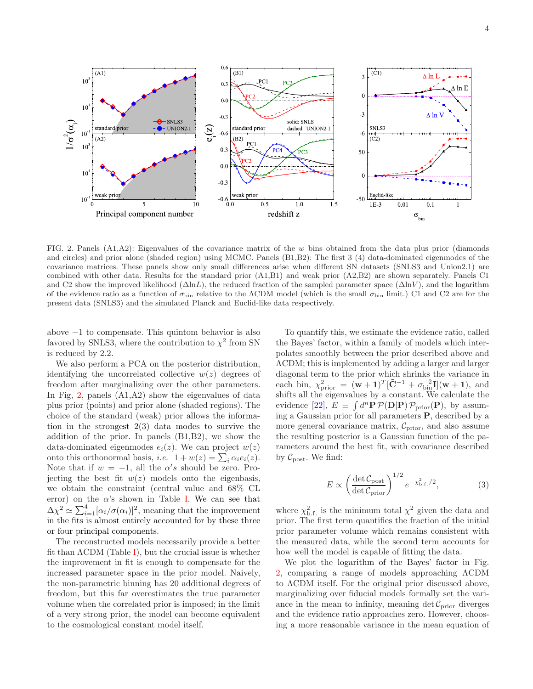

<span id="page-3-0"></span>FIG. 2. Panels  $(A1, A2)$ : Eigenvalues of the covariance matrix of the w bins obtained from the data plus prior (diamonds and circles) and prior alone (shaded region) using MCMC. Panels (B1,B2): The first 3 (4) data-dominated eigenmodes of the covariance matrices. These panels show only small differences arise when different SN datasets (SNLS3 and Union2.1) are combined with other data. Results for the standard prior (A1,B1) and weak prior (A2,B2) are shown separately. Panels C1 and C2 show the improved likelihood  $(\Delta \ln L)$ , the reduced fraction of the sampled parameter space  $(\Delta \ln V)$ , and the logarithm of the evidence ratio as a function of  $\sigma_{\text{bin}}$  relative to the ΛCDM model (which is the small  $\sigma_{\text{bin}}$  limit.) C1 and C2 are for the present data (SNLS3) and the simulated Planck and Euclid-like data respectively.

above −1 to compensate. This quintom behavior is also favored by SNLS3, where the contribution to  $\chi^2$  from SN is reduced by 2.2.

We also perform a PCA on the posterior distribution, identifying the uncorrelated collective  $w(z)$  degrees of freedom after marginalizing over the other parameters. In Fig, [2,](#page-3-0) panels (A1,A2) show the eigenvalues of data plus prior (points) and prior alone (shaded regions). The choice of the standard (weak) prior allows the information in the strongest 2(3) data modes to survive the addition of the prior. In panels (B1,B2), we show the data-dominated eigenmodes  $e_i(z)$ . We can project  $w(z)$ onto this orthonormal basis, *i.e.*  $1 + w(z) = \sum_i \alpha_i e_i(z)$ . Note that if  $w = -1$ , all the  $\alpha's$  should be zero. Projecting the best fit  $w(z)$  models onto the eigenbasis, we obtain the constraint (central value and 68% CL error) on the  $\alpha$ 's shown in Table [I.](#page-1-0) We can see that  $\Delta \chi^2 \simeq \sum_{i=1}^4 [\alpha_i/\sigma(\alpha_i)]^2$ , meaning that the improvement in the fits is almost entirely accounted for by these three or four principal components.

The reconstructed models necessarily provide a better fit than  $\Lambda$ CDM (Table [I\)](#page-1-0), but the crucial issue is whether the improvement in fit is enough to compensate for the increased parameter space in the prior model. Naively, the non-parametric binning has 20 additional degrees of freedom, but this far overestimates the true parameter volume when the correlated prior is imposed; in the limit of a very strong prior, the model can become equivalent to the cosmological constant model itself.

To quantify this, we estimate the evidence ratio, called the Bayes' factor, within a family of models which interpolates smoothly between the prior described above and ΛCDM; this is implemented by adding a larger and larger diagonal term to the prior which shrinks the variance in each bin,  $\chi^2_{\text{prior}} = (\mathbf{w} + 1)^T [\tilde{\mathbf{C}}^{-1} + \sigma_{\text{bin}}^{-2} \mathbf{I}] (\mathbf{w} + 1)$ , and shifts all the eigenvalues by a constant. We calculate the evidence [\[22\]](#page-4-20),  $E \equiv \int d^n \mathbf{P} \mathcal{P}(\mathbf{D}|\mathbf{P}) \mathcal{P}_{prior}(\mathbf{P})$ , by assuming a Gaussian prior for all parameters P, described by a more general covariance matrix,  $C_{\text{prior}}$ , and also assume the resulting posterior is a Gaussian function of the parameters around the best fit, with covariance described by  $\mathcal{C}_{\text{post}}$ . We find:

$$
E \propto \left(\frac{\det \mathcal{C}_{\text{post}}}{\det \mathcal{C}_{\text{prior}}}\right)^{1/2} e^{-\chi^2_{\text{b.f.}}/2},\tag{3}
$$

where  $\chi^2_{\text{b.f.}}$  is the minimum total  $\chi^2$  given the data and prior. The first term quantifies the fraction of the initial prior parameter volume which remains consistent with the measured data, while the second term accounts for how well the model is capable of fitting the data.

We plot the logarithm of the Bayes' factor in Fig. [2,](#page-3-0) comparing a range of models approaching ΛCDM to ΛCDM itself. For the original prior discussed above, marginalizing over fiducial models formally set the variance in the mean to infinity, meaning det  $C_{\text{prior}}$  diverges and the evidence ratio approaches zero. However, choosing a more reasonable variance in the mean equation of